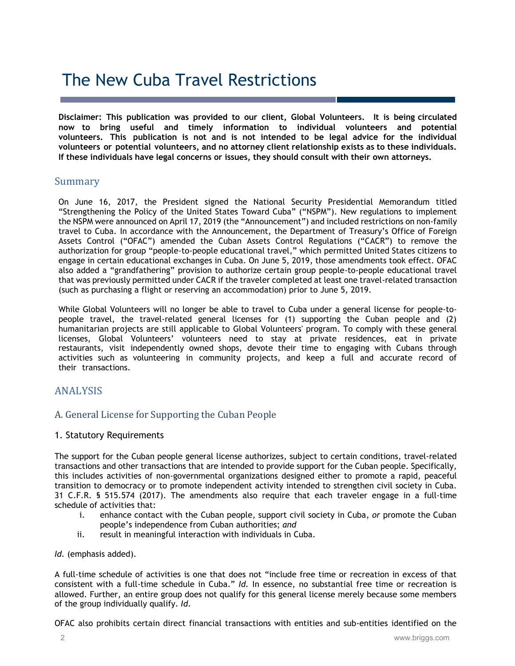# The New Cuba Travel Restrictions

**Disclaimer: This publication was provided to our client, Global Volunteers. It is being circulated now to bring useful and timely information to individual volunteers and potential volunteers. This publication is not and is not intended to be legal advice for the individual volunteers or potential volunteers, and no attorney client relationship exists as to these individuals. If these individuals have legal concerns or issues, they should consult with their own attorneys.**

# Summary

On June 16, 2017, the President signed the National Security Presidential Memorandum titled "Strengthening the Policy of the United States Toward Cuba" ("NSPM"). New regulations to implement the NSPM were announced on April 17, 2019 (the "Announcement") and included restrictions on non-family travel to Cuba. In accordance with the Announcement, the Department of Treasury's Office of Foreign Assets Control ("OFAC") amended the Cuban Assets Control Regulations ("CACR") to remove the authorization for group "people-to-people educational travel," which permitted United States citizens to engage in certain educational exchanges in Cuba. On June 5, 2019, those amendments took effect. OFAC also added a "grandfathering" provision to authorize certain group people-to-people educational travel that was previously permitted under CACR if the traveler completed at least one travel-related transaction (such as purchasing a flight or reserving an accommodation) prior to June 5, 2019.

While Global Volunteers will no longer be able to travel to Cuba under a general license for people-topeople travel, the travel-related general licenses for (1) supporting the Cuban people and (2) humanitarian projects are still applicable to Global Volunteers' program. To comply with these general licenses, Global Volunteers' volunteers need to stay at private residences, eat in private restaurants, visit independently owned shops, devote their time to engaging with Cubans through activities such as volunteering in community projects, and keep a full and accurate record of their transactions.

# ANALYSIS

# A. General License for Supporting the Cuban People

#### 1. Statutory Requirements

The support for the Cuban people general license authorizes, subject to certain conditions, travel-related transactions and other transactions that are intended to provide support for the Cuban people. Specifically, this includes activities of non-governmental organizations designed either to promote a rapid, peaceful transition to democracy or to promote independent activity intended to strengthen civil society in Cuba. 31 C.F.R. § 515.574 (2017). The amendments also require that each traveler engage in a full-time schedule of activities that:

- i. enhance contact with the Cuban people, support civil society in Cuba, *or* promote the Cuban people's independence from Cuban authorities; *and*
- ii. result in meaningful interaction with individuals in Cuba.

*Id.* (emphasis added).

A full-time schedule of activities is one that does not "include free time or recreation in excess of that consistent with a full-time schedule in Cuba." *Id.* In essence, no substantial free time or recreation is allowed. Further, an entire group does not qualify for this general license merely because some members of the group individually qualify. *Id.*

OFAC also prohibits certain direct financial transactions with entities and sub-entities identified on the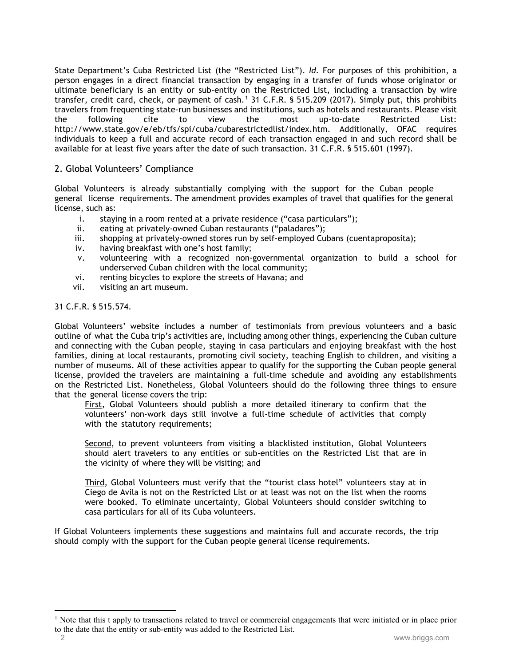State Department's Cuba Restricted List (the "Restricted List"). *Id.* For purposes of this prohibition, a person engages in a direct financial transaction by engaging in a transfer of funds whose originator or ultimate beneficiary is an entity or sub-entity on the Restricted List, including a transaction by wire transfer, credit card, check, or payment of cash. [1](#page-1-0) 31 C.F.R. § 515.209 (2017). Simply put, this prohibits travelers from frequenting state-run businesses and institutions, such as hotels and restaurants. Please visit the following cite to view the most up-to-date Restricted List: http://www.state.gov/e/eb/tfs/spi/cuba/cubarestrictedlist/index.htm. Additionally, OFAC requires individuals to keep a full and accurate record of each transaction engaged in and such record shall be available for at least five years after the date of such transaction. 31 C.F.R. § 515.601 (1997).

# 2. Global Volunteers' Compliance

Global Volunteers is already substantially complying with the support for the Cuban people general license requirements. The amendment provides examples of travel that qualifies for the general license, such as:

- i. staying in a room rented at a private residence ("casa particulars");
- ii. eating at privately-owned Cuban restaurants ("paladares");
- iii. shopping at privately-owned stores run by self-employed Cubans (cuentaproposita);
- iv. having breakfast with one's host family;
- v. volunteering with a recognized non-governmental organization to build a school for underserved Cuban children with the local community;
- vi. renting bicycles to explore the streets of Havana; and
- vii. visiting an art museum.

#### 31 C.F.R. § 515.574.

Global Volunteers' website includes a number of testimonials from previous volunteers and a basic outline of what the Cuba trip's activities are, including among other things, experiencing the Cuban culture and connecting with the Cuban people, staying in casa particulars and enjoying breakfast with the host families, dining at local restaurants, promoting civil society, teaching English to children, and visiting a number of museums. All of these activities appear to qualify for the supporting the Cuban people general license, provided the travelers are maintaining a full-time schedule and avoiding any establishments on the Restricted List. Nonetheless, Global Volunteers should do the following three things to ensure that the general license covers the trip:

First, Global Volunteers should publish a more detailed itinerary to confirm that the volunteers' non-work days still involve a full-time schedule of activities that comply with the statutory requirements;

Second, to prevent volunteers from visiting a blacklisted institution, Global Volunteers should alert travelers to any entities or sub-entities on the Restricted List that are in the vicinity of where they will be visiting; and

Third, Global Volunteers must verify that the "tourist class hotel" volunteers stay at in Ciego de Avila is not on the Restricted List or at least was not on the list when the rooms were booked. To eliminate uncertainty, Global Volunteers should consider switching to casa particulars for all of its Cuba volunteers.

If Global Volunteers implements these suggestions and maintains full and accurate records, the trip should comply with the support for the Cuban people general license requirements.

<span id="page-1-0"></span><sup>&</sup>lt;sup>1</sup> Note that this t apply to transactions related to travel or commercial engagements that were initiated or in place prior to the date that the entity or sub-entity was added to the Restricted List.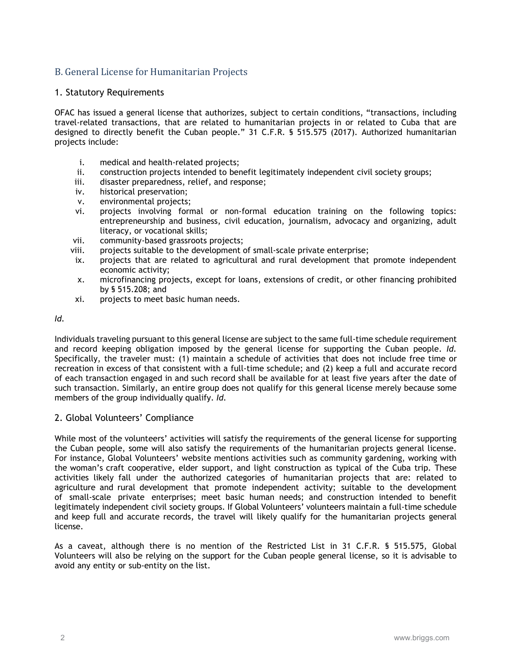# B. General License for Humanitarian Projects

# 1. Statutory Requirements

OFAC has issued a general license that authorizes, subject to certain conditions, "transactions, including travel-related transactions, that are related to humanitarian projects in or related to Cuba that are designed to directly benefit the Cuban people." 31 C.F.R. § 515.575 (2017). Authorized humanitarian projects include:

- i. medical and health-related projects;
- ii. construction projects intended to benefit legitimately independent civil society groups;
- iii. disaster preparedness, relief, and response;
- iv. historical preservation;
- v. environmental projects;
- vi. projects involving formal or non-formal education training on the following topics: entrepreneurship and business, civil education, journalism, advocacy and organizing, adult literacy, or vocational skills;
- vii. community-based grassroots projects;
- viii. projects suitable to the development of small-scale private enterprise;
- ix. projects that are related to agricultural and rural development that promote independent economic activity;
- x. microfinancing projects, except for loans, extensions of credit, or other financing prohibited by § 515.208; and
- xi. projects to meet basic human needs.

# *Id.*

Individuals traveling pursuant to this general license are subject to the same full-time schedule requirement and record keeping obligation imposed by the general license for supporting the Cuban people. *Id.* Specifically, the traveler must: (1) maintain a schedule of activities that does not include free time or recreation in excess of that consistent with a full-time schedule; and (2) keep a full and accurate record of each transaction engaged in and such record shall be available for at least five years after the date of such transaction. Similarly, an entire group does not qualify for this general license merely because some members of the group individually qualify. *Id.*

# 2. Global Volunteers' Compliance

While most of the volunteers' activities will satisfy the requirements of the general license for supporting the Cuban people, some will also satisfy the requirements of the humanitarian projects general license. For instance, Global Volunteers' website mentions activities such as community gardening, working with the woman's craft cooperative, elder support, and light construction as typical of the Cuba trip. These activities likely fall under the authorized categories of humanitarian projects that are: related to agriculture and rural development that promote independent activity; suitable to the development of small-scale private enterprises; meet basic human needs; and construction intended to benefit legitimately independent civil society groups. If Global Volunteers' volunteers maintain a full-time schedule and keep full and accurate records, the travel will likely qualify for the humanitarian projects general license.

As a caveat, although there is no mention of the Restricted List in 31 C.F.R. § 515.575, Global Volunteers will also be relying on the support for the Cuban people general license, so it is advisable to avoid any entity or sub-entity on the list.